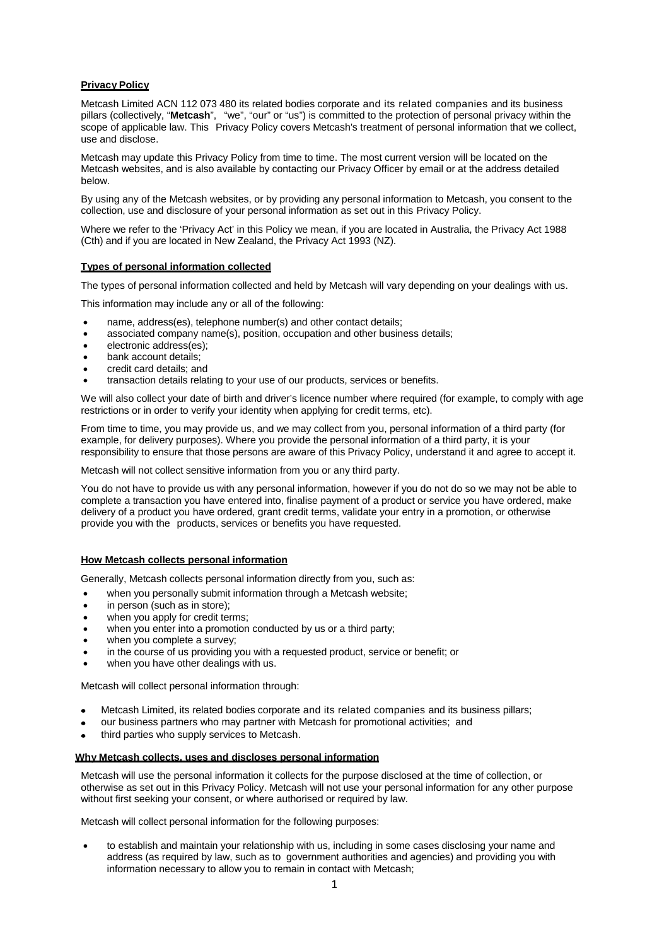# **Privacy Policy**

Metcash Limited ACN 112 073 480 its related bodies corporate and its related companies and its business pillars (collectively, "**Metcash**", "we", "our" or "us") is committed to the protection of personal privacy within the scope of applicable law. This Privacy Policy covers Metcash's treatment of personal information that we collect, use and disclose.

Metcash may update this Privacy Policy from time to time. The most current version will be located on the Metcash websites, and is also available by contacting our Privacy Officer by email or at the address detailed below.

By using any of the Metcash websites, or by providing any personal information to Metcash, you consent to the collection, use and disclosure of your personal information as set out in this Privacy Policy.

Where we refer to the 'Privacy Act' in this Policy we mean, if you are located in Australia, the Privacy Act 1988 (Cth) and if you are located in New Zealand, the Privacy Act 1993 (NZ).

## **Types of personal information collected**

The types of personal information collected and held by Metcash will vary depending on your dealings with us.

This information may include any or all of the following:

- name, address(es), telephone number(s) and other contact details;
- associated company name(s), position, occupation and other business details;
- electronic address(es);
- bank account details:
- credit card details; and
- transaction details relating to your use of our products, services or benefits.

We will also collect your date of birth and driver's licence number where required (for example, to comply with age restrictions or in order to verify your identity when applying for credit terms, etc).

From time to time, you may provide us, and we may collect from you, personal information of a third party (for example, for delivery purposes). Where you provide the personal information of a third party, it is your responsibility to ensure that those persons are aware of this Privacy Policy, understand it and agree to accept it.

Metcash will not collect sensitive information from you or any third party.

You do not have to provide us with any personal information, however if you do not do so we may not be able to complete a transaction you have entered into, finalise payment of a product or service you have ordered, make delivery of a product you have ordered, grant credit terms, validate your entry in a promotion, or otherwise provide you with the products, services or benefits you have requested.

### **How Metcash collects personal information**

Generally, Metcash collects personal information directly from you, such as:

- when you personally submit information through a Metcash website;
- in person (such as in store);
- when you apply for credit terms;
- when you enter into a promotion conducted by us or a third party;
- when you complete a survey;
- in the course of us providing you with a requested product, service or benefit; or
- when you have other dealings with us.

Metcash will collect personal information through:

- Metcash Limited, its related bodies corporate and its related companies and its business pillars;
- our business partners who may partner with Metcash for promotional activities; and
- third parties who supply services to Metcash.

#### **Why Metcash collects, uses and discloses personal information**

Metcash will use the personal information it collects for the purpose disclosed at the time of collection, or otherwise as set out in this Privacy Policy. Metcash will not use your personal information for any other purpose without first seeking your consent, or where authorised or required by law.

Metcash will collect personal information for the following purposes:

• to establish and maintain your relationship with us, including in some cases disclosing your name and address (as required by law, such as to government authorities and agencies) and providing you with information necessary to allow you to remain in contact with Metcash;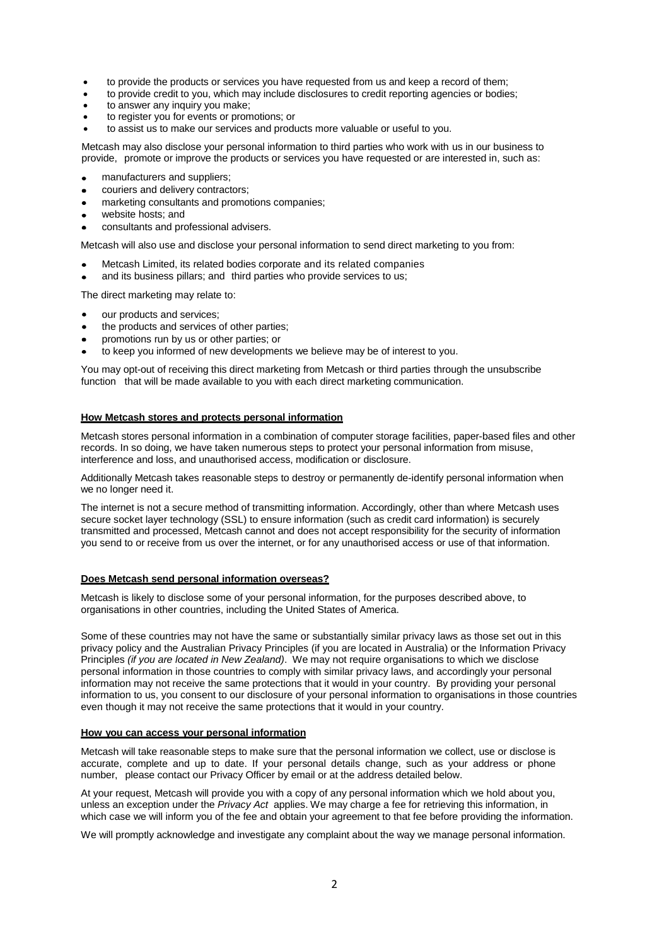- to provide the products or services you have requested from us and keep a record of them;
- to provide credit to you, which may include disclosures to credit reporting agencies or bodies;
- to answer any inquiry you make;
- to register you for events or promotions; or
- to assist us to make our services and products more valuable or useful to you.

Metcash may also disclose your personal information to third parties who work with us in our business to provide, promote or improve the products or services you have requested or are interested in, such as:

- manufacturers and suppliers;
- couriers and delivery contractors;
- marketing consultants and promotions companies;  $\bullet$
- website hosts; and
- consultants and professional advisers.

Metcash will also use and disclose your personal information to send direct marketing to you from:

- Metcash Limited, its related bodies corporate and its related companies
- and its business pillars; and third parties who provide services to us;

The direct marketing may relate to:

- our products and services;
- the products and services of other parties;
- promotions run by us or other parties; or
- to keep you informed of new developments we believe may be of interest to you.

You may opt-out of receiving this direct marketing from Metcash or third parties through the unsubscribe function that will be made available to you with each direct marketing communication.

#### **How Metcash stores and protects personal information**

Metcash stores personal information in a combination of computer storage facilities, paper-based files and other records. In so doing, we have taken numerous steps to protect your personal information from misuse, interference and loss, and unauthorised access, modification or disclosure.

Additionally Metcash takes reasonable steps to destroy or permanently de-identify personal information when we no longer need it.

The internet is not a secure method of transmitting information. Accordingly, other than where Metcash uses secure socket layer technology (SSL) to ensure information (such as credit card information) is securely transmitted and processed, Metcash cannot and does not accept responsibility for the security of information you send to or receive from us over the internet, or for any unauthorised access or use of that information.

#### **Does Metcash send personal information overseas?**

Metcash is likely to disclose some of your personal information, for the purposes described above, to organisations in other countries, including the United States of America.

Some of these countries may not have the same or substantially similar privacy laws as those set out in this privacy policy and the Australian Privacy Principles (if you are located in Australia) or the Information Privacy Principles *(if you are located in New Zealand)*. We may not require organisations to which we disclose personal information in those countries to comply with similar privacy laws, and accordingly your personal information may not receive the same protections that it would in your country. By providing your personal information to us, you consent to our disclosure of your personal information to organisations in those countries even though it may not receive the same protections that it would in your country.

## **How you can access your personal information**

Metcash will take reasonable steps to make sure that the personal information we collect, use or disclose is accurate, complete and up to date. If your personal details change, such as your address or phone number, please contact our Privacy Officer by email or at the address detailed below.

At your request, Metcash will provide you with a copy of any personal information which we hold about you, unless an exception under the *Privacy Act* applies. We may charge a fee for retrieving this information, in which case we will inform you of the fee and obtain your agreement to that fee before providing the information.

We will promptly acknowledge and investigate any complaint about the way we manage personal information.